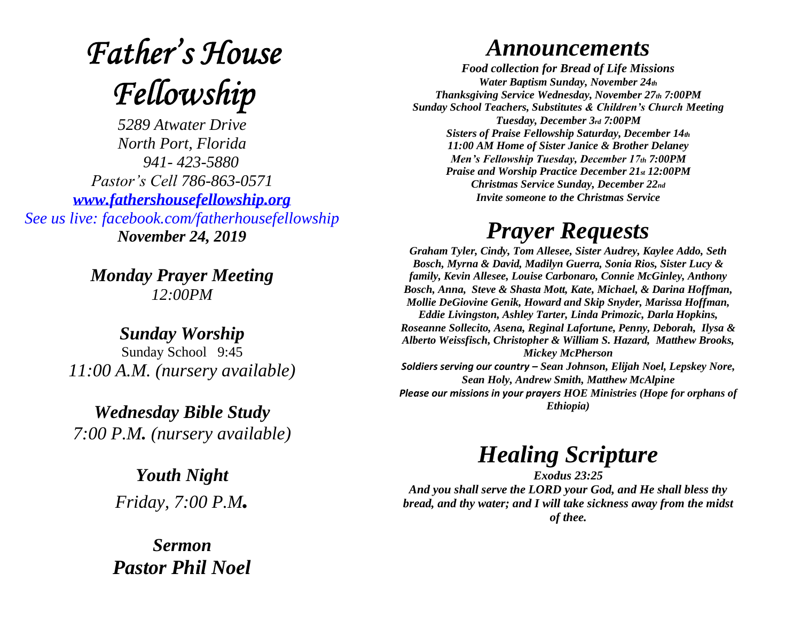# **Father's House** Fellowship

*5289 Atwater Drive North Port, Florida 941- 423-5880 Pastor's Cell 786-863-0571 [www.fathershousefellowship.org](http://www.fathershousefellowship.org/) See us live: facebook.com/fatherhousefellowship November 24, 2019*

> *Monday Prayer Meeting 12:00PM*

*Sunday Worship* Sunday School 9:45 *11:00 A.M. (nursery available)*

*Wednesday Bible Study 7:00 P.M. (nursery available)*

> *Youth Night Friday, 7:00 P.M.*

*Sermon Pastor Phil Noel*

#### *Announcements*

*Food collection for Bread of Life Missions Water Baptism Sunday, November 24th Thanksgiving Service Wednesday, November 27th 7:00PM Sunday School Teachers, Substitutes & Children's Church Meeting Tuesday, December 3rd 7:00PM Sisters of Praise Fellowship Saturday, December 14th 11:00 AM Home of Sister Janice & Brother Delaney Men's Fellowship Tuesday, December 17th 7:00PM Praise and Worship Practice December 21st 12:00PM Christmas Service Sunday, December 22nd Invite someone to the Christmas Service*

## *Prayer Requests*

*Graham Tyler, Cindy, Tom Allesee, Sister Audrey, Kaylee Addo, Seth Bosch, Myrna & David, Madilyn Guerra, Sonia Rios, Sister Lucy & family, Kevin Allesee, Louise Carbonaro, Connie McGinley, Anthony Bosch, Anna, Steve & Shasta Mott, Kate, Michael, & Darina Hoffman, Mollie DeGiovine Genik, Howard and Skip Snyder, Marissa Hoffman, Eddie Livingston, Ashley Tarter, Linda Primozic, Darla Hopkins, Roseanne Sollecito, Asena, Reginal Lafortune, Penny, Deborah, Ilysa & Alberto Weissfisch, Christopher & William S. Hazard, Matthew Brooks, Mickey McPherson Soldiers serving our country – Sean Johnson, Elijah Noel, Lepskey Nore, Sean Holy, Andrew Smith, Matthew McAlpine*

*Please our missions in your prayers HOE Ministries (Hope for orphans of Ethiopia)*

### *Healing Scripture*

*Exodus 23:25 And you shall serve the LORD your God, and He shall bless thy bread, and thy water; and I will take sickness away from the midst of thee.*